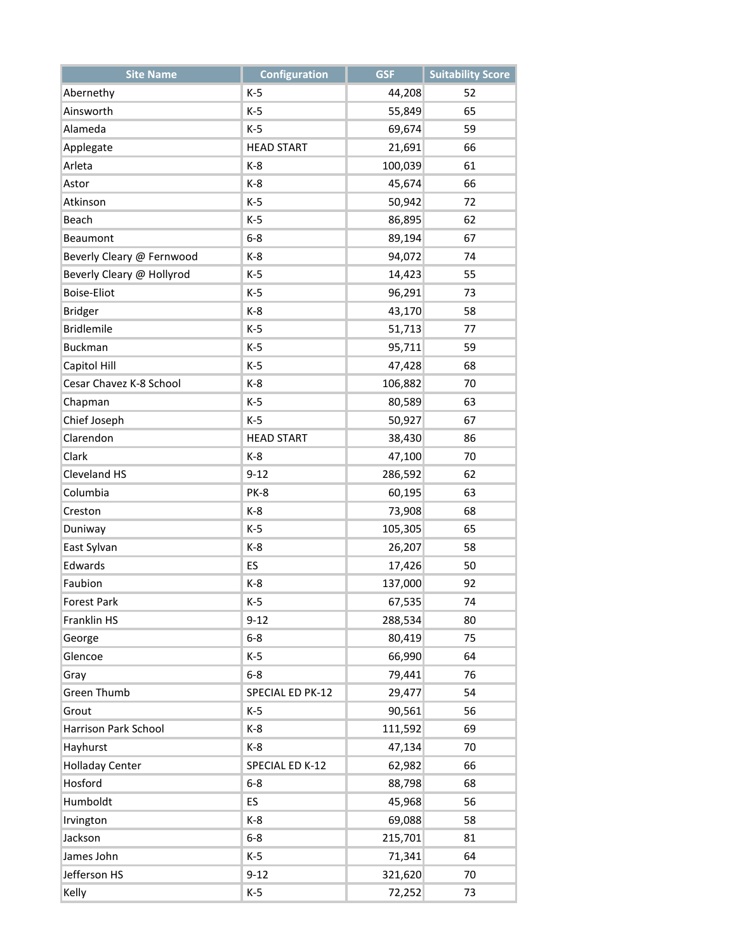| <b>Site Name</b>          | <b>Configuration</b> | <b>GSF</b> | <b>Suitability Score</b> |
|---------------------------|----------------------|------------|--------------------------|
| Abernethy                 | $K-5$                | 44,208     | 52                       |
| Ainsworth                 | $K-5$                | 55,849     | 65                       |
| Alameda                   | $K-5$                | 69,674     | 59                       |
| Applegate                 | <b>HEAD START</b>    | 21,691     | 66                       |
| Arleta                    | $K-8$                | 100,039    | 61                       |
| Astor                     | $K-8$                | 45,674     | 66                       |
| Atkinson                  | $K-5$                | 50,942     | 72                       |
| Beach                     | $K-5$                | 86,895     | 62                       |
| Beaumont                  | $6 - 8$              | 89,194     | 67                       |
| Beverly Cleary @ Fernwood | $K-8$                | 94,072     | 74                       |
| Beverly Cleary @ Hollyrod | $K-5$                | 14,423     | 55                       |
| <b>Boise-Eliot</b>        | $K-5$                | 96,291     | 73                       |
| <b>Bridger</b>            | $K-8$                | 43,170     | 58                       |
| <b>Bridlemile</b>         | $K-5$                | 51,713     | 77                       |
| <b>Buckman</b>            | $K-5$                | 95,711     | 59                       |
| Capitol Hill              | $K-5$                | 47,428     | 68                       |
| Cesar Chavez K-8 School   | $K-8$                | 106,882    | 70                       |
| Chapman                   | $K-5$                | 80,589     | 63                       |
| Chief Joseph              | $K-5$                | 50,927     | 67                       |
| Clarendon                 | <b>HEAD START</b>    | 38,430     | 86                       |
| Clark                     | $K-8$                | 47,100     | 70                       |
| Cleveland HS              | $9 - 12$             | 286,592    | 62                       |
| Columbia                  | PK-8                 | 60,195     | 63                       |
| Creston                   | $K-8$                | 73,908     | 68                       |
| Duniway                   | $K-5$                | 105,305    | 65                       |
| East Sylvan               | $K-8$                | 26,207     | 58                       |
| Edwards                   | ES                   | 17,426     | 50                       |
| Faubion                   | $K-8$                | 137,000    | 92                       |
| Forest Park               | K-5                  | 67,535     | 74                       |
| Franklin HS               | $9 - 12$             | 288,534    | 80                       |
| George                    | $6 - 8$              | 80,419     | 75                       |
| Glencoe                   | $K-5$                | 66,990     | 64                       |
| Gray                      | $6 - 8$              | 79,441     | 76                       |
| Green Thumb               | SPECIAL ED PK-12     | 29,477     | 54                       |
| Grout                     | $K-5$                | 90,561     | 56                       |
| Harrison Park School      | $K-8$                | 111,592    | 69                       |
| Hayhurst                  | $K-8$                | 47,134     | 70                       |
| <b>Holladay Center</b>    | SPECIAL ED K-12      | 62,982     | 66                       |
| Hosford                   | $6 - 8$              | 88,798     | 68                       |
| Humboldt                  | ES                   | 45,968     | 56                       |
| Irvington                 | $K-8$                | 69,088     | 58                       |
| Jackson                   | $6 - 8$              | 215,701    | 81                       |
| James John                | $K-5$                | 71,341     | 64                       |
| Jefferson HS              | $9 - 12$             | 321,620    | 70                       |
| Kelly                     | $K-5$                | 72,252     | 73                       |